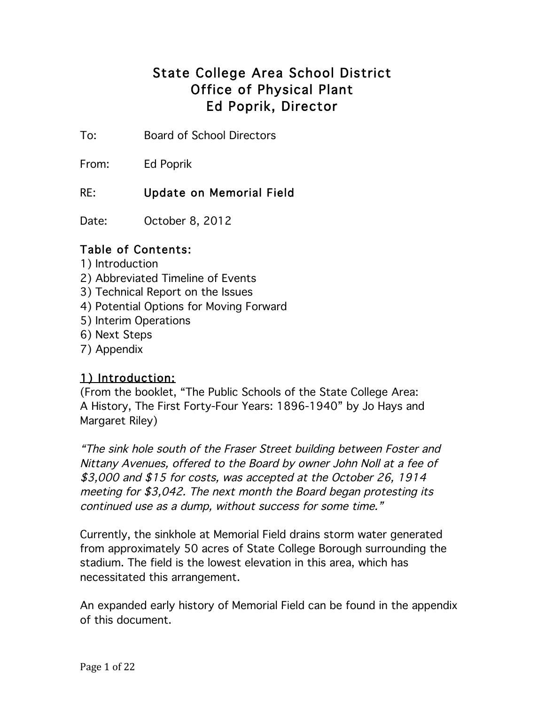## State College Area School District Office of Physical Plant Ed Poprik, Director

To: Board of School Directors

From: Ed Poprik

## RE: Update on Memorial Field

Date: October 8, 2012

## Table of Contents:

- 1) Introduction
- 2) Abbreviated Timeline of Events
- 3) Technical Report on the Issues
- 4) Potential Options for Moving Forward
- 5) Interim Operations
- 6) Next Steps
- 7) Appendix

## 1) Introduction:

(From the booklet, "The Public Schools of the State College Area: A History, The First Forty-Four Years: 1896-1940" by Jo Hays and Margaret Riley)

"The sink hole south of the Fraser Street building between Foster and Nittany Avenues, offered to the Board by owner John Noll at a fee of \$3,000 and \$15 for costs, was accepted at the October 26, 1914 meeting for \$3,042. The next month the Board began protesting its continued use as a dump, without success for some time."

Currently, the sinkhole at Memorial Field drains storm water generated from approximately 50 acres of State College Borough surrounding the stadium. The field is the lowest elevation in this area, which has necessitated this arrangement.

An expanded early history of Memorial Field can be found in the appendix of this document.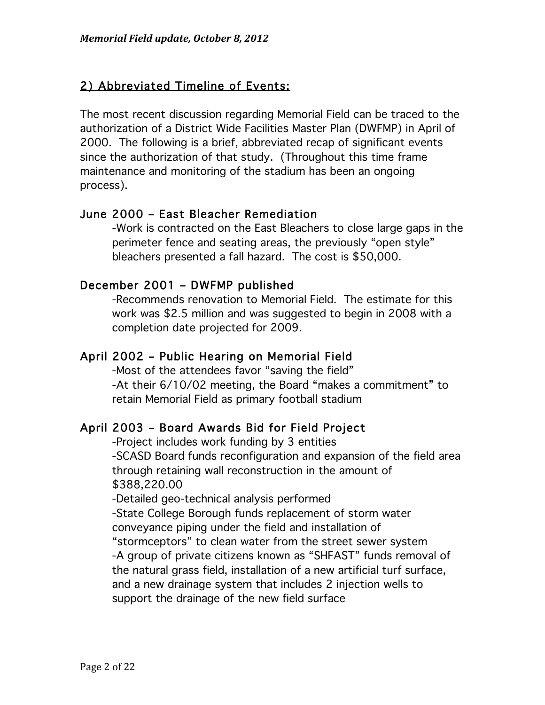## 2) Abbreviated Timeline of Events:

The most recent discussion regarding Memorial Field can be traced to the authorization of a District Wide Facilities Master Plan (DWFMP) in April of 2000. The following is a brief, abbreviated recap of significant events since the authorization of that study. (Throughout this time frame maintenance and monitoring of the stadium has been an ongoing process).

## June 2000 – East Bleacher Remediation

-Work is contracted on the East Bleachers to close large gaps in the perimeter fence and seating areas, the previously "open style" bleachers presented a fall hazard. The cost is \$50,000.

## December 2001 – DWFMP published

-Recommends renovation to Memorial Field. The estimate for this work was \$2.5 million and was suggested to begin in 2008 with a completion date projected for 2009.

## April 2002 – Public Hearing on Memorial Field

-Most of the attendees favor "saving the field" -At their 6/10/02 meeting, the Board "makes a commitment" to retain Memorial Field as primary football stadium

## April 2003 – Board Awards Bid for Field Project

-Project includes work funding by 3 entities -SCASD Board funds reconfiguration and expansion of the field area through retaining wall reconstruction in the amount of \$388,220.00

-Detailed geo-technical analysis performed -State College Borough funds replacement of storm water conveyance piping under the field and installation of "stormceptors" to clean water from the street sewer system -A group of private citizens known as "SHFAST" funds removal of the natural grass field, installation of a new artificial turf surface, and a new drainage system that includes 2 injection wells to support the drainage of the new field surface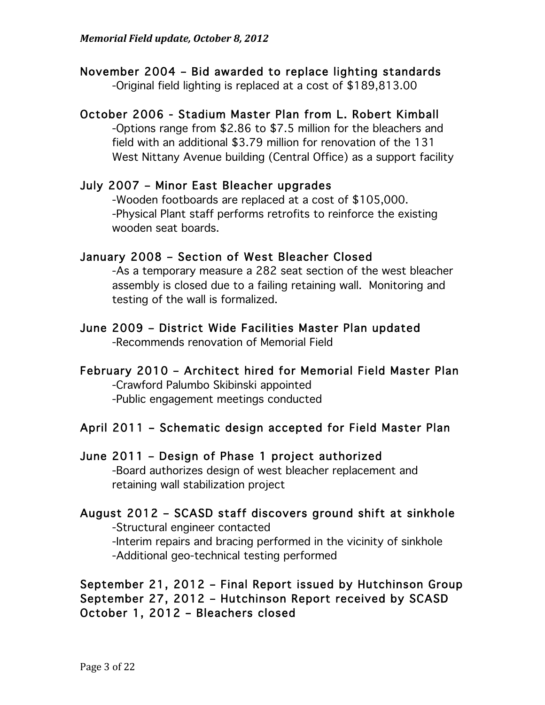## November 2004 – Bid awarded to replace lighting standards

-Original field lighting is replaced at a cost of \$189,813.00

## October 2006 - Stadium Master Plan from L. Robert Kimball

-Options range from \$2.86 to \$7.5 million for the bleachers and field with an additional \$3.79 million for renovation of the 131 West Nittany Avenue building (Central Office) as a support facility

## July 2007 – Minor East Bleacher upgrades

-Wooden footboards are replaced at a cost of \$105,000. -Physical Plant staff performs retrofits to reinforce the existing wooden seat boards.

## January 2008 – Section of West Bleacher Closed

-As a temporary measure a 282 seat section of the west bleacher assembly is closed due to a failing retaining wall. Monitoring and testing of the wall is formalized.

## June 2009 – District Wide Facilities Master Plan updated -Recommends renovation of Memorial Field

## February 2010 – Architect hired for Memorial Field Master Plan -Crawford Palumbo Skibinski appointed

-Public engagement meetings conducted

## April 2011 – Schematic design accepted for Field Master Plan

## June 2011 – Design of Phase 1 project authorized

-Board authorizes design of west bleacher replacement and retaining wall stabilization project

## August 2012 – SCASD staff discovers ground shift at sinkhole -Structural engineer contacted

-Interim repairs and bracing performed in the vicinity of sinkhole -Additional geo-technical testing performed

## September 21, 2012 – Final Report issued by Hutchinson Group September 27, 2012 – Hutchinson Report received by SCASD October 1, 2012 – Bleachers closed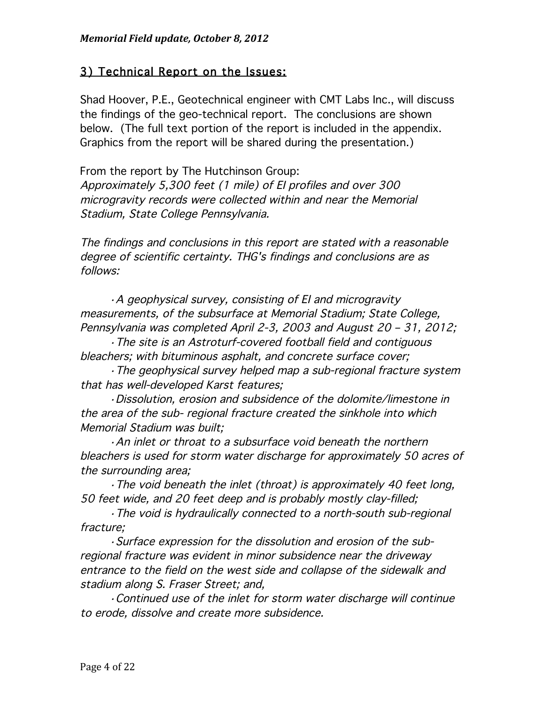## 3) Technical Report on the Issues:

Shad Hoover, P.E., Geotechnical engineer with CMT Labs Inc., will discuss the findings of the geo-technical report. The conclusions are shown below. (The full text portion of the report is included in the appendix. Graphics from the report will be shared during the presentation.)

From the report by The Hutchinson Group: Approximately 5,300 feet (1 mile) of EI profiles and over 300 microgravity records were collected within and near the Memorial Stadium, State College Pennsylvania.

The findings and conclusions in this report are stated with a reasonable degree of scientific certainty. THG's findings and conclusions are as follows:

 ·A geophysical survey, consisting of EI and microgravity measurements, of the subsurface at Memorial Stadium; State College, Pennsylvania was completed April 2-3, 2003 and August 20 – 31, 2012;

 ·The site is an Astroturf-covered football field and contiguous bleachers; with bituminous asphalt, and concrete surface cover;

 ·The geophysical survey helped map a sub-regional fracture system that has well-developed Karst features;

 ·Dissolution, erosion and subsidence of the dolomite/limestone in the area of the sub- regional fracture created the sinkhole into which Memorial Stadium was built;

 ·An inlet or throat to a subsurface void beneath the northern bleachers is used for storm water discharge for approximately 50 acres of the surrounding area;

 ·The void beneath the inlet (throat) is approximately 40 feet long, 50 feet wide, and 20 feet deep and is probably mostly clay-filled;

 ·The void is hydraulically connected to a north-south sub-regional fracture;

 ·Surface expression for the dissolution and erosion of the subregional fracture was evident in minor subsidence near the driveway entrance to the field on the west side and collapse of the sidewalk and stadium along S. Fraser Street; and,

 ·Continued use of the inlet for storm water discharge will continue to erode, dissolve and create more subsidence.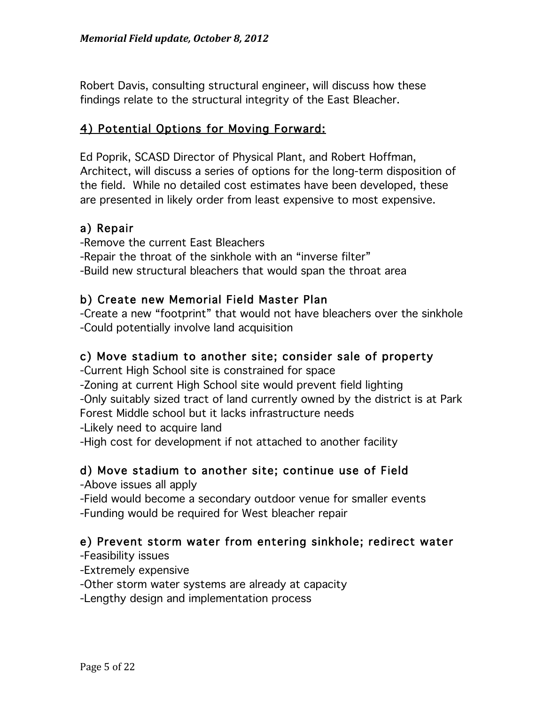Robert Davis, consulting structural engineer, will discuss how these findings relate to the structural integrity of the East Bleacher.

## 4) Potential Options for Moving Forward:

Ed Poprik, SCASD Director of Physical Plant, and Robert Hoffman, Architect, will discuss a series of options for the long-term disposition of the field. While no detailed cost estimates have been developed, these are presented in likely order from least expensive to most expensive.

## a) Repair

-Remove the current East Bleachers -Repair the throat of the sinkhole with an "inverse filter" -Build new structural bleachers that would span the throat area

## b) Create new Memorial Field Master Plan

-Create a new "footprint" that would not have bleachers over the sinkhole -Could potentially involve land acquisition

## c) Move stadium to another site; consider sale of property

-Current High School site is constrained for space -Zoning at current High School site would prevent field lighting -Only suitably sized tract of land currently owned by the district is at Park Forest Middle school but it lacks infrastructure needs -Likely need to acquire land

-High cost for development if not attached to another facility

## d) Move stadium to another site; continue use of Field

- -Above issues all apply
- -Field would become a secondary outdoor venue for smaller events -Funding would be required for West bleacher repair

## e) Prevent storm water from entering sinkhole; redirect water

-Feasibility issues

-Extremely expensive

-Other storm water systems are already at capacity

-Lengthy design and implementation process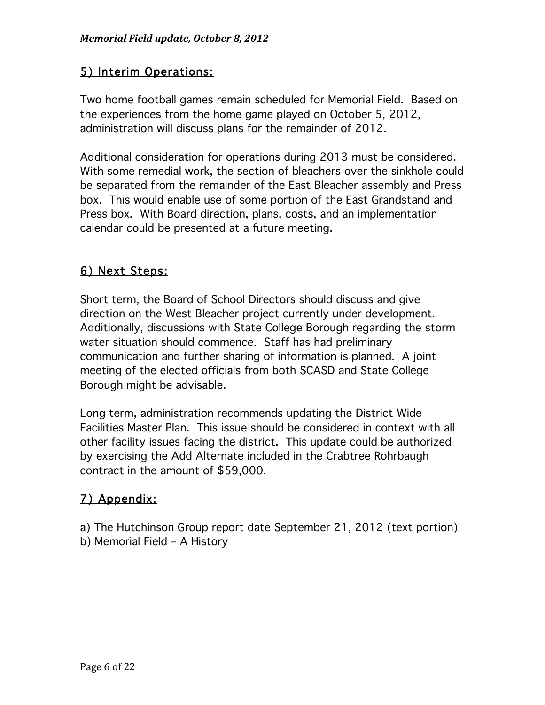## 5) Interim Operations:

Two home football games remain scheduled for Memorial Field. Based on the experiences from the home game played on October 5, 2012, administration will discuss plans for the remainder of 2012.

Additional consideration for operations during 2013 must be considered. With some remedial work, the section of bleachers over the sinkhole could be separated from the remainder of the East Bleacher assembly and Press box. This would enable use of some portion of the East Grandstand and Press box. With Board direction, plans, costs, and an implementation calendar could be presented at a future meeting.

## 6) Next Steps:

Short term, the Board of School Directors should discuss and give direction on the West Bleacher project currently under development. Additionally, discussions with State College Borough regarding the storm water situation should commence. Staff has had preliminary communication and further sharing of information is planned. A joint meeting of the elected officials from both SCASD and State College Borough might be advisable.

Long term, administration recommends updating the District Wide Facilities Master Plan. This issue should be considered in context with all other facility issues facing the district. This update could be authorized by exercising the Add Alternate included in the Crabtree Rohrbaugh contract in the amount of \$59,000.

## 7) Appendix:

a) The Hutchinson Group report date September 21, 2012 (text portion)

b) Memorial Field – A History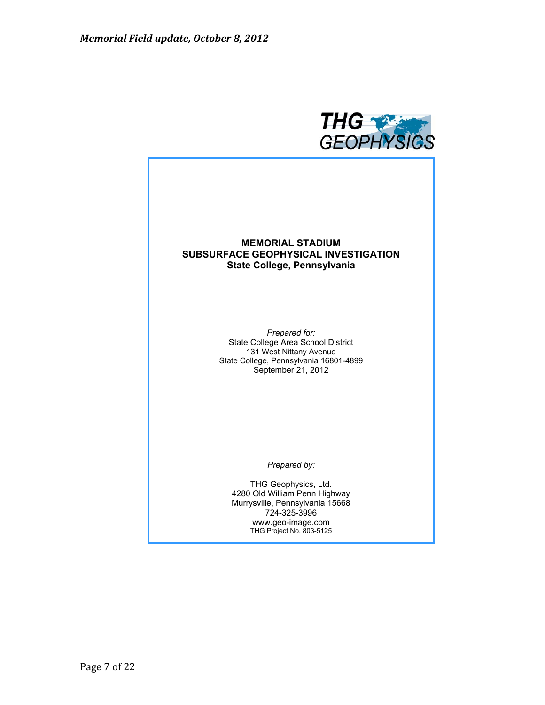

## **MEMORIAL STADIUM SUBSURFACE GEOPHYSICAL INVESTIGATION State College, Pennsylvania**

*Prepared for:*  State College Area School District 131 West Nittany Avenue State College, Pennsylvania 16801-4899 September 21, 2012

*Prepared by:* 

THG Geophysics, Ltd. 4280 Old William Penn Highway Murrysville, Pennsylvania 15668 724-325-3996 www.geo-image.com THG Project No. 803-5125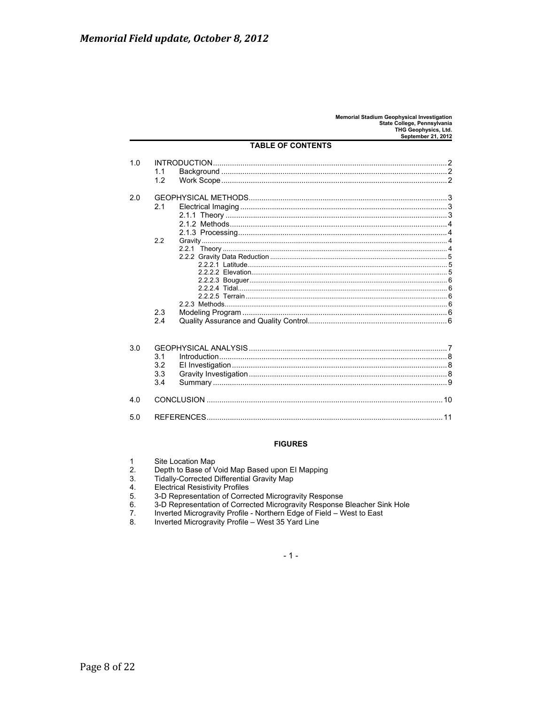| 1.0 |     |    |  |
|-----|-----|----|--|
|     |     |    |  |
|     | 1.1 |    |  |
|     | 1.2 |    |  |
|     |     |    |  |
| 2.0 |     |    |  |
|     | 2.1 |    |  |
|     |     |    |  |
|     |     |    |  |
|     |     |    |  |
|     | 2.2 |    |  |
|     |     |    |  |
|     |     |    |  |
|     |     |    |  |
|     |     |    |  |
|     |     |    |  |
|     |     |    |  |
|     |     |    |  |
|     |     |    |  |
|     | 23  |    |  |
|     | 2.4 |    |  |
|     |     |    |  |
| 3.0 |     |    |  |
|     | 3.1 |    |  |
|     | 3.2 |    |  |
|     | 3.3 |    |  |
|     | 3.4 |    |  |
|     |     |    |  |
| 4.0 |     | 10 |  |

### **TABLE OF CONTENTS**

### **FIGURES**

|  | Site Location Map |  |
|--|-------------------|--|
|--|-------------------|--|

 $5.0$ 

 $2.$ Depth to Base of Void Map Based upon El Mapping

- $3.$ Tidally-Corrected Differential Gravity Map
- $\frac{4}{5}$ **Electrical Resistivity Profiles**
- 
- 3-D Representation of Corrected Microgravity Response<br>3-D Representation of Corrected Microgravity Response Bleacher Sink Hole  $6.$
- $7.$ Inverted Microgravity Profile - Northern Edge of Field - West to East
- 8. Inverted Microgravity Profile - West 35 Yard Line

 $-1-$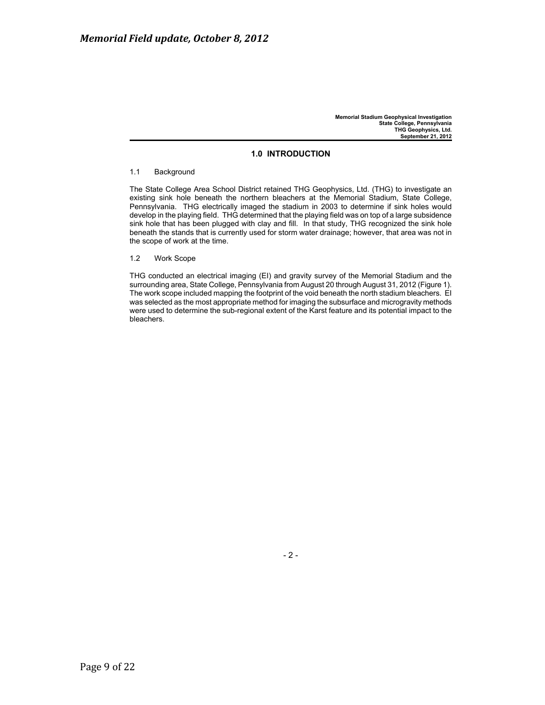### **1.0 INTRODUCTION**

### 1.1 Background

The State College Area School District retained THG Geophysics, Ltd. (THG) to investigate an existing sink hole beneath the northern bleachers at the Memorial Stadium, State College, Pennsylvania. THG electrically imaged the stadium in 2003 to determine if sink holes would develop in the playing field. THG determined that the playing field was on top of a large subsidence sink hole that has been plugged with clay and fill. In that study, THG recognized the sink hole beneath the stands that is currently used for storm water drainage; however, that area was not in the scope of work at the time.

1.2 Work Scope

THG conducted an electrical imaging (EI) and gravity survey of the Memorial Stadium and the surrounding area, State College, Pennsylvania from August 20 through August 31, 2012 (Figure 1). The work scope included mapping the footprint of the void beneath the north stadium bleachers. EI was selected as the most appropriate method for imaging the subsurface and microgravity methods were used to determine the sub-regional extent of the Karst feature and its potential impact to the bleachers.

- 2 -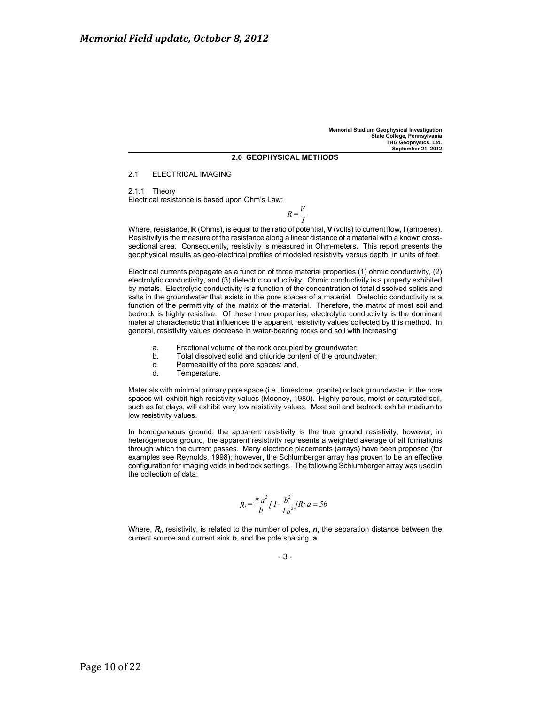### **2.0 GEOPHYSICAL METHODS**

2.1 ELECTRICAL IMAGING

2.1.1 Theory Electrical resistance is based upon Ohm's Law:

 $R=\frac{V}{I}$ 

Where, resistance, **R** (Ohms), is equal to the ratio of potential, **V** (volts) to current flow, **I** (amperes). Resistivity is the measure of the resistance along a linear distance of a material with a known crosssectional area. Consequently, resistivity is measured in Ohm-meters. This report presents the geophysical results as geo-electrical profiles of modeled resistivity versus depth, in units of feet.

Electrical currents propagate as a function of three material properties (1) ohmic conductivity, (2) electrolytic conductivity, and (3) dielectric conductivity. Ohmic conductivity is a property exhibited by metals. Electrolytic conductivity is a function of the concentration of total dissolved solids and salts in the groundwater that exists in the pore spaces of a material. Dielectric conductivity is a function of the permittivity of the matrix of the material. Therefore, the matrix of most soil and bedrock is highly resistive. Of these three properties, electrolytic conductivity is the dominant material characteristic that influences the apparent resistivity values collected by this method. In general, resistivity values decrease in water-bearing rocks and soil with increasing:

- a. Fractional volume of the rock occupied by groundwater;
- b. Total dissolved solid and chloride content of the groundwater;
- c. Permeability of the pore spaces; and,
- d. Temperature.

Materials with minimal primary pore space (i.e., limestone, granite) or lack groundwater in the pore spaces will exhibit high resistivity values (Mooney, 1980). Highly porous, moist or saturated soil, such as fat clays, will exhibit very low resistivity values. Most soil and bedrock exhibit medium to low resistivity values.

In homogeneous ground, the apparent resistivity is the true ground resistivity; however, in heterogeneous ground, the apparent resistivity represents a weighted average of all formations through which the current passes. Many electrode placements (arrays) have been proposed (for examples see Reynolds, 1998); however, the Schlumberger array has proven to be an effective configuration for imaging voids in bedrock settings. The following Schlumberger array was used in the collection of data:

$$
R_i = \frac{\pi a^2}{b} \int I \frac{b^2}{4 a^2} J R; \, a = 5b
$$

Where, *Ri*, resistivity, is related to the number of poles, *n*, the separation distance between the current source and current sink *b*, and the pole spacing, **a**.

- 3 -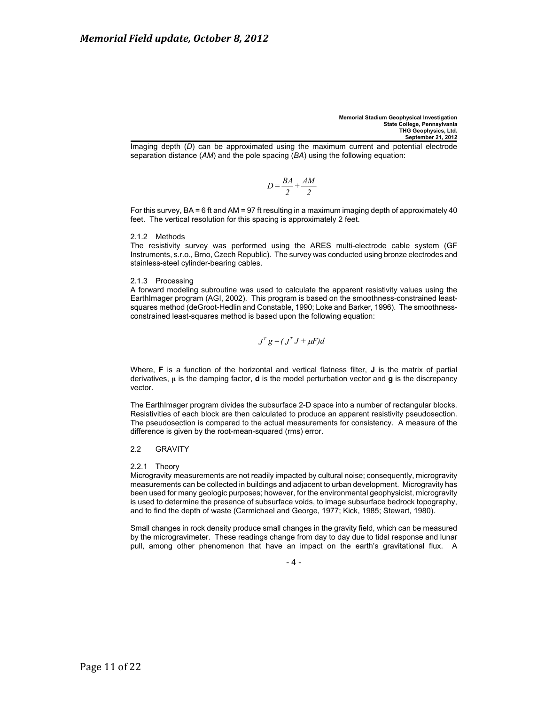Imaging depth (*D*) can be approximated using the maximum current and potential electrode separation distance (*AM*) and the pole spacing (*BA*) using the following equation:

$$
D = \frac{BA}{2} + \frac{AM}{2}
$$

For this survey, BA = 6 ft and AM = 97 ft resulting in a maximum imaging depth of approximately 40 feet. The vertical resolution for this spacing is approximately 2 feet.

### 2.1.2 Methods

The resistivity survey was performed using the ARES multi-electrode cable system (GF Instruments, s.r.o., Brno, Czech Republic). The survey was conducted using bronze electrodes and stainless-steel cylinder-bearing cables.

### 2.1.3 Processing

A forward modeling subroutine was used to calculate the apparent resistivity values using the EarthImager program (AGI, 2002). This program is based on the smoothness-constrained leastsquares method (deGroot-Hedlin and Constable, 1990; Loke and Barker, 1996). The smoothnessconstrained least-squares method is based upon the following equation:

$$
J^T g = (J^T J + \mu F) d
$$

Where, **F** is a function of the horizontal and vertical flatness filter, **J** is the matrix of partial derivatives, **ȝ** is the damping factor, **d** is the model perturbation vector and **g** is the discrepancy vector.

The EarthImager program divides the subsurface 2-D space into a number of rectangular blocks. Resistivities of each block are then calculated to produce an apparent resistivity pseudosection. The pseudosection is compared to the actual measurements for consistency. A measure of the difference is given by the root-mean-squared (rms) error.

### 2.2 GRAVITY

### 2.2.1 Theory

Microgravity measurements are not readily impacted by cultural noise; consequently, microgravity measurements can be collected in buildings and adjacent to urban development. Microgravity has been used for many geologic purposes; however, for the environmental geophysicist, microgravity is used to determine the presence of subsurface voids, to image subsurface bedrock topography, and to find the depth of waste (Carmichael and George, 1977; Kick, 1985; Stewart, 1980).

Small changes in rock density produce small changes in the gravity field, which can be measured by the microgravimeter. These readings change from day to day due to tidal response and lunar pull, among other phenomenon that have an impact on the earth's gravitational flux. A

 $-4 -$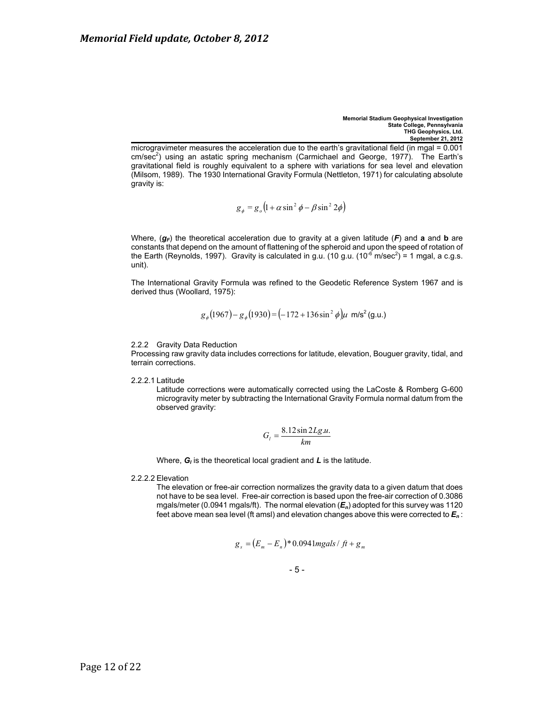microgravimeter measures the acceleration due to the earth's gravitational field (in mgal = 0.001 cm/sec<sup>2</sup>) using an astatic spring mechanism (Carmichael and George, 1977). The Earth's gravitational field is roughly equivalent to a sphere with variations for sea level and elevation (Milsom, 1989). The 1930 International Gravity Formula (Nettleton, 1971) for calculating absolute gravity is:

$$
g_{\phi} = g_o \left( 1 + \alpha \sin^2 \phi - \beta \sin^2 2\phi \right)
$$

Where,  $(g_F)$  the theoretical acceleration due to gravity at a given latitude  $(F)$  and **a** and **b** are constants that depend on the amount of flattening of the spheroid and upon the speed of rotation of the Earth (Reynolds, 1997). Gravity is calculated in g.u. (10 g.u. (10<sup>-6</sup> m/sec<sup>2</sup>) = 1 mgal, a c.g.s. unit).

The International Gravity Formula was refined to the Geodetic Reference System 1967 and is derived thus (Woollard, 1975):

$$
g_{\phi}(1967) - g_{\phi}(1930) = (-172 + 136 \sin^2 \phi)\mu
$$
 m/s<sup>2</sup> (g.u.)

### 2.2.2 Gravity Data Reduction

Processing raw gravity data includes corrections for latitude, elevation, Bouguer gravity, tidal, and terrain corrections.

2.2.2.1 Latitude

Latitude corrections were automatically corrected using the LaCoste & Romberg G-600 microgravity meter by subtracting the International Gravity Formula normal datum from the observed gravity:

$$
G_l = \frac{8.12 \sin 2Lg.u.}{km}
$$

Where,  $G_i$  is the theoretical local gradient and  $L$  is the latitude.

2.2.2.2 Elevation

The elevation or free-air correction normalizes the gravity data to a given datum that does not have to be sea level. Free-air correction is based upon the free-air correction of 0.3086 mgals/meter (0.0941 mgals/ft). The normal elevation (*En*) adopted for this survey was 1120 feet above mean sea level (ft amsl) and elevation changes above this were corrected to *En* :

$$
g_s = (E_m - E_n)^* 0.0941mgals / ft + g_m
$$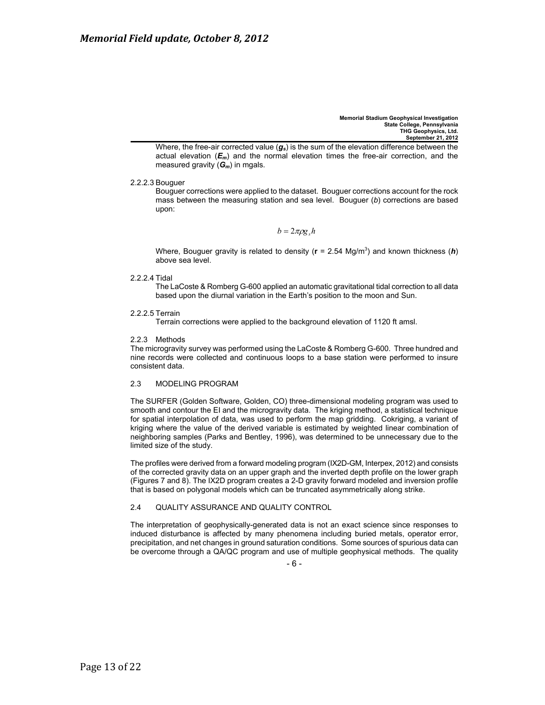Where, the free-air corrected value (g<sub>s</sub>) is the sum of the elevation difference between the actual elevation  $(E_m)$  and the normal elevation times the free-air correction, and the measured gravity (*Gm*) in mgals.

2.2.2.3 Bouguer

Bouguer corrections were applied to the dataset. Bouguer corrections account for the rock mass between the measuring station and sea level. Bouguer (*b*) corrections are based upon:

 $b = 2\pi \rho g$   $h$ 

Where, Bouguer gravity is related to density (**r** = 2.54 Mg/m<sup>3</sup>) and known thickness (*h*) above sea level.

2.2.2.4 Tidal

The LaCoste & Romberg G-600 applied an automatic gravitational tidal correction to all data based upon the diurnal variation in the Earth's position to the moon and Sun.

2.2.2.5 Terrain

Terrain corrections were applied to the background elevation of 1120 ft amsl.

2.2.3 Methods

The microgravity survey was performed using the LaCoste & Romberg G-600. Three hundred and nine records were collected and continuous loops to a base station were performed to insure consistent data.

### 2.3 MODELING PROGRAM

The SURFER (Golden Software, Golden, CO) three-dimensional modeling program was used to smooth and contour the EI and the microgravity data. The kriging method, a statistical technique for spatial interpolation of data, was used to perform the map gridding. Cokriging, a variant of kriging where the value of the derived variable is estimated by weighted linear combination of neighboring samples (Parks and Bentley, 1996), was determined to be unnecessary due to the limited size of the study.

The profiles were derived from a forward modeling program (IX2D-GM, Interpex, 2012) and consists of the corrected gravity data on an upper graph and the inverted depth profile on the lower graph (Figures 7 and 8). The IX2D program creates a 2-D gravity forward modeled and inversion profile that is based on polygonal models which can be truncated asymmetrically along strike.

### 2.4 QUALITY ASSURANCE AND QUALITY CONTROL

The interpretation of geophysically-generated data is not an exact science since responses to induced disturbance is affected by many phenomena including buried metals, operator error, precipitation, and net changes in ground saturation conditions. Some sources of spurious data can be overcome through a QA/QC program and use of multiple geophysical methods. The quality

- 6 -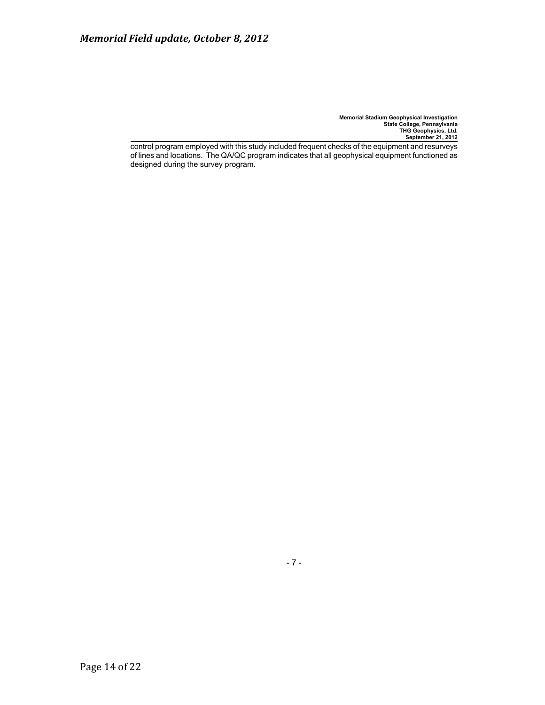control program employed with this study included frequent checks of the equipment and resurveys of lines and locations. The QA/QC program indicates that all geophysical equipment functioned as designed during the survey program.

- 7 -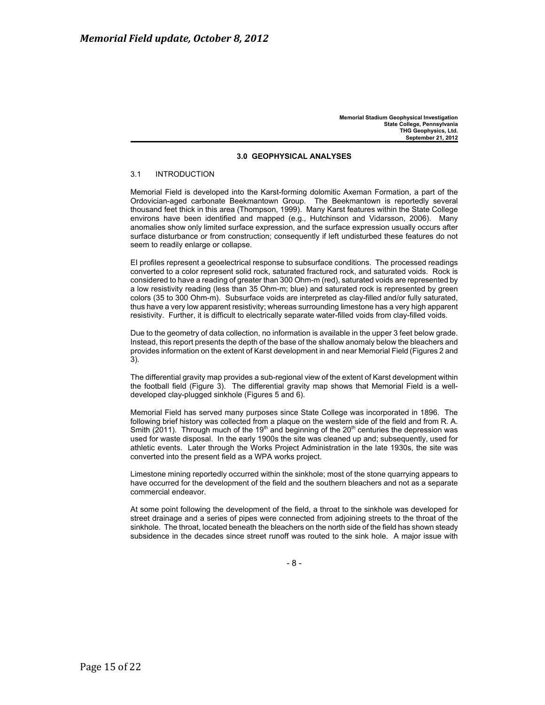### **3.0 GEOPHYSICAL ANALYSES**

### 3.1 INTRODUCTION

Memorial Field is developed into the Karst-forming dolomitic Axeman Formation, a part of the Ordovician-aged carbonate Beekmantown Group. The Beekmantown is reportedly several thousand feet thick in this area (Thompson, 1999). Many Karst features within the State College environs have been identified and mapped (e.g., Hutchinson and Vidarsson, 2006). Many anomalies show only limited surface expression, and the surface expression usually occurs after surface disturbance or from construction; consequently if left undisturbed these features do not seem to readily enlarge or collapse.

EI profiles represent a geoelectrical response to subsurface conditions. The processed readings converted to a color represent solid rock, saturated fractured rock, and saturated voids. Rock is considered to have a reading of greater than 300 Ohm-m (red), saturated voids are represented by a low resistivity reading (less than 35 Ohm-m; blue) and saturated rock is represented by green colors (35 to 300 Ohm-m). Subsurface voids are interpreted as clay-filled and/or fully saturated, thus have a very low apparent resistivity; whereas surrounding limestone has a very high apparent resistivity. Further, it is difficult to electrically separate water-filled voids from clay-filled voids.

Due to the geometry of data collection, no information is available in the upper 3 feet below grade. Instead, this report presents the depth of the base of the shallow anomaly below the bleachers and provides information on the extent of Karst development in and near Memorial Field (Figures 2 and 3).

The differential gravity map provides a sub-regional view of the extent of Karst development within the football field (Figure 3). The differential gravity map shows that Memorial Field is a welldeveloped clay-plugged sinkhole (Figures 5 and 6).

Memorial Field has served many purposes since State College was incorporated in 1896. The following brief history was collected from a plaque on the western side of the field and from R. A. Smith (2011). Through much of the 19<sup>th</sup> and beginning of the 20<sup>th</sup> centuries the depression was used for waste disposal. In the early 1900s the site was cleaned up and; subsequently, used for athletic events. Later through the Works Project Administration in the late 1930s, the site was converted into the present field as a WPA works project.

Limestone mining reportedly occurred within the sinkhole; most of the stone quarrying appears to have occurred for the development of the field and the southern bleachers and not as a separate commercial endeavor.

At some point following the development of the field, a throat to the sinkhole was developed for street drainage and a series of pipes were connected from adjoining streets to the throat of the sinkhole. The throat, located beneath the bleachers on the north side of the field has shown steady subsidence in the decades since street runoff was routed to the sink hole. A major issue with

- 8 -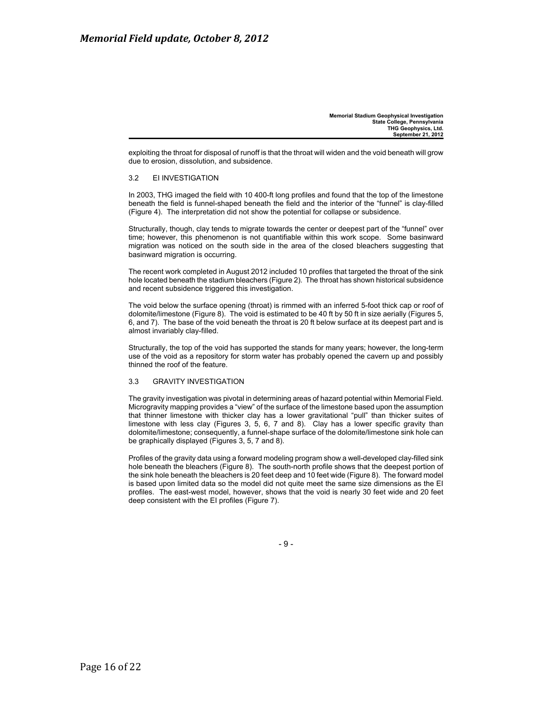exploiting the throat for disposal of runoff is that the throat will widen and the void beneath will grow due to erosion, dissolution, and subsidence.

### 3.2 EI INVESTIGATION

In 2003, THG imaged the field with 10 400-ft long profiles and found that the top of the limestone beneath the field is funnel-shaped beneath the field and the interior of the "funnel" is clay-filled (Figure 4). The interpretation did not show the potential for collapse or subsidence.

Structurally, though, clay tends to migrate towards the center or deepest part of the "funnel" over time; however, this phenomenon is not quantifiable within this work scope. Some basinward migration was noticed on the south side in the area of the closed bleachers suggesting that basinward migration is occurring.

The recent work completed in August 2012 included 10 profiles that targeted the throat of the sink hole located beneath the stadium bleachers (Figure 2). The throat has shown historical subsidence and recent subsidence triggered this investigation.

The void below the surface opening (throat) is rimmed with an inferred 5-foot thick cap or roof of dolomite/limestone (Figure 8). The void is estimated to be 40 ft by 50 ft in size aerially (Figures 5, 6, and 7). The base of the void beneath the throat is 20 ft below surface at its deepest part and is almost invariably clay-filled.

Structurally, the top of the void has supported the stands for many years; however, the long-term use of the void as a repository for storm water has probably opened the cavern up and possibly thinned the roof of the feature.

### 3.3 GRAVITY INVESTIGATION

The gravity investigation was pivotal in determining areas of hazard potential within Memorial Field. Microgravity mapping provides a "view" of the surface of the limestone based upon the assumption that thinner limestone with thicker clay has a lower gravitational "pull" than thicker suites of limestone with less clay (Figures 3, 5, 6, 7 and 8). Clay has a lower specific gravity than dolomite/limestone; consequently, a funnel-shape surface of the dolomite/limestone sink hole can be graphically displayed (Figures 3, 5, 7 and 8).

Profiles of the gravity data using a forward modeling program show a well-developed clay-filled sink hole beneath the bleachers (Figure 8). The south-north profile shows that the deepest portion of the sink hole beneath the bleachers is 20 feet deep and 10 feet wide (Figure 8). The forward model is based upon limited data so the model did not quite meet the same size dimensions as the EI profiles. The east-west model, however, shows that the void is nearly 30 feet wide and 20 feet deep consistent with the EI profiles (Figure 7).

- 9 -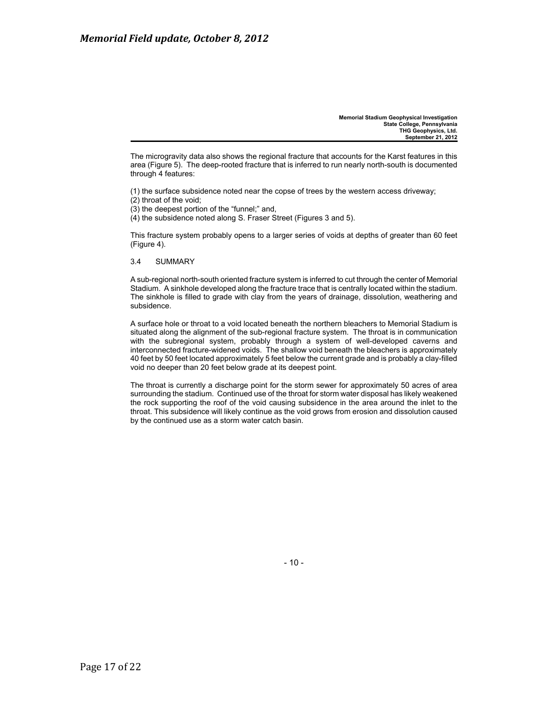The microgravity data also shows the regional fracture that accounts for the Karst features in this area (Figure 5). The deep-rooted fracture that is inferred to run nearly north-south is documented through 4 features:

(1) the surface subsidence noted near the copse of trees by the western access driveway;

- (2) throat of the void;
- (3) the deepest portion of the "funnel;" and,
- (4) the subsidence noted along S. Fraser Street (Figures 3 and 5).

This fracture system probably opens to a larger series of voids at depths of greater than 60 feet (Figure 4).

3.4 SUMMARY

A sub-regional north-south oriented fracture system is inferred to cut through the center of Memorial Stadium. A sinkhole developed along the fracture trace that is centrally located within the stadium. The sinkhole is filled to grade with clay from the years of drainage, dissolution, weathering and subsidence.

A surface hole or throat to a void located beneath the northern bleachers to Memorial Stadium is situated along the alignment of the sub-regional fracture system. The throat is in communication with the subregional system, probably through a system of well-developed caverns and interconnected fracture-widened voids. The shallow void beneath the bleachers is approximately 40 feet by 50 feet located approximately 5 feet below the current grade and is probably a clay-filled void no deeper than 20 feet below grade at its deepest point.

The throat is currently a discharge point for the storm sewer for approximately 50 acres of area surrounding the stadium. Continued use of the throat for storm water disposal has likely weakened the rock supporting the roof of the void causing subsidence in the area around the inlet to the throat. This subsidence will likely continue as the void grows from erosion and dissolution caused by the continued use as a storm water catch basin.

- 10 -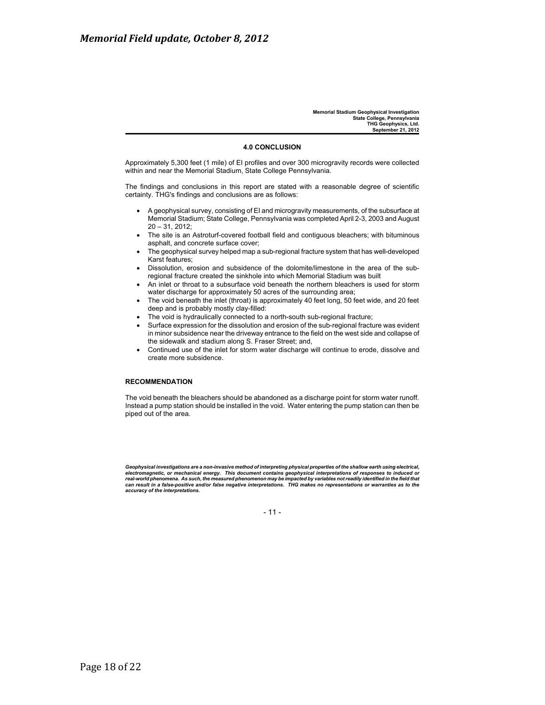### **4.0 CONCLUSION**

Approximately 5,300 feet (1 mile) of EI profiles and over 300 microgravity records were collected within and near the Memorial Stadium, State College Pennsylvania.

The findings and conclusions in this report are stated with a reasonable degree of scientific certainty. THG's findings and conclusions are as follows:

- x A geophysical survey, consisting of EI and microgravity measurements, of the subsurface at Memorial Stadium; State College, Pennsylvania was completed April 2-3, 2003 and August 20 – 31, 2012;
- The site is an Astroturf-covered football field and contiguous bleachers; with bituminous asphalt, and concrete surface cover;
- x The geophysical survey helped map a sub-regional fracture system that has well-developed Karst features;
- Dissolution, erosion and subsidence of the dolomite/limestone in the area of the subregional fracture created the sinkhole into which Memorial Stadium was built
- An inlet or throat to a subsurface void beneath the northern bleachers is used for storm water discharge for approximately 50 acres of the surrounding area;
- The void beneath the inlet (throat) is approximately 40 feet long, 50 feet wide, and 20 feet deep and is probably mostly clay-filled:
- The void is hydraulically connected to a north-south sub-regional fracture;
- Surface expression for the dissolution and erosion of the sub-regional fracture was evident in minor subsidence near the driveway entrance to the field on the west side and collapse of the sidewalk and stadium along S. Fraser Street; and,
- Continued use of the inlet for storm water discharge will continue to erode, dissolve and create more subsidence.

### **RECOMMENDATION**

The void beneath the bleachers should be abandoned as a discharge point for storm water runoff. Instead a pump station should be installed in the void. Water entering the pump station can then be piped out of the area.

Geophysical investigations are a non-invasive method of interpreting physical properties of the shallow earth using electrical,<br>electromagnetic, or mechanical energy. This document contains geophysical interpretations of r *can result in a false-positive and/or false negative interpretations. THG makes no representations or warranties as to the accuracy of the interpretations.*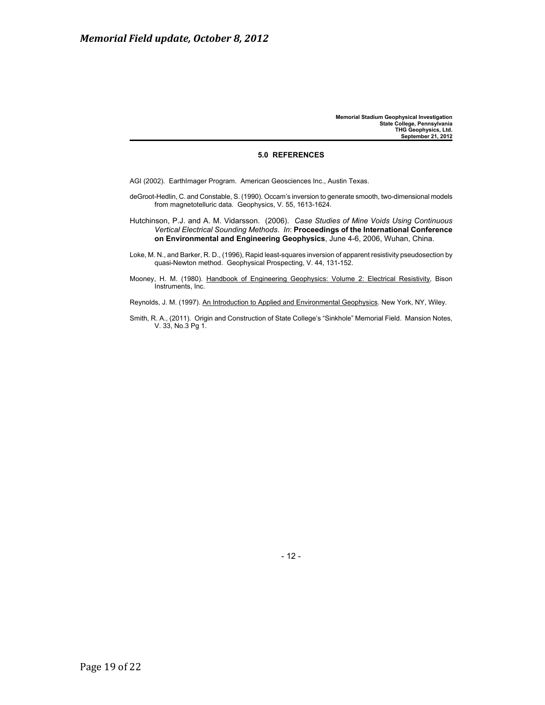### **5.0 REFERENCES**

AGI (2002). EarthImager Program. American Geosciences Inc., Austin Texas.

deGroot-Hedlin, C. and Constable, S. (1990). Occam's inversion to generate smooth, two-dimensional models from magnetotelluric data. Geophysics, V. 55, 1613-1624.

Hutchinson, P.J. and A. M. Vidarsson. (2006). *Case Studies of Mine Voids Using Continuous Vertical Electrical Sounding Methods*. *In*: **Proceedings of the International Conference on Environmental and Engineering Geophysics**, June 4-6, 2006, Wuhan, China.

Loke, M. N., and Barker, R. D., (1996), Rapid least-squares inversion of apparent resistivity pseudosection by quasi-Newton method. Geophysical Prospecting, V. 44, 131-152.

Mooney, H. M. (1980). Handbook of Engineering Geophysics: Volume 2: Electrical Resistivity, Bison Instruments, Inc.

Reynolds, J. M. (1997). An Introduction to Applied and Environmental Geophysics. New York, NY, Wiley.

Smith, R. A., (2011). Origin and Construction of State College's "Sinkhole" Memorial Field. Mansion Notes, V. 33, No.3 Pg 1.

- 12 -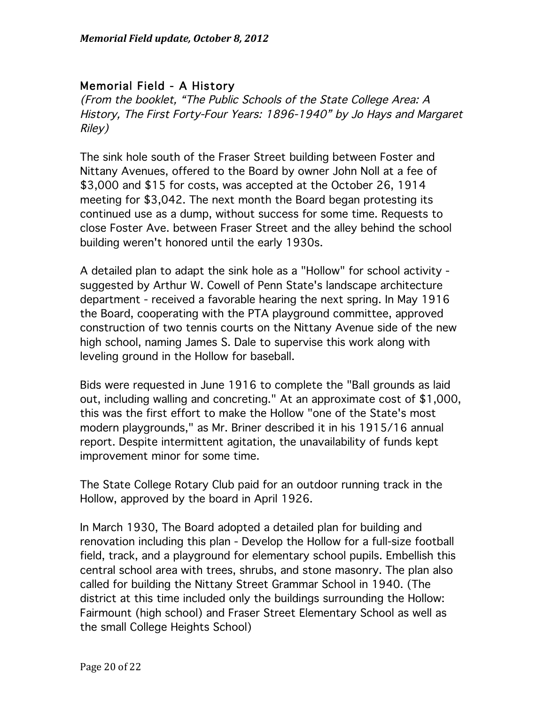## Memorial Field - A History

(From the booklet, "The Public Schools of the State College Area: A History, The First Forty-Four Years: 1896-1940" by Jo Hays and Margaret Riley)

The sink hole south of the Fraser Street building between Foster and Nittany Avenues, offered to the Board by owner John Noll at a fee of \$3,000 and \$15 for costs, was accepted at the October 26, 1914 meeting for \$3,042. The next month the Board began protesting its continued use as a dump, without success for some time. Requests to close Foster Ave. between Fraser Street and the alley behind the school building weren't honored until the early 1930s.

A detailed plan to adapt the sink hole as a "Hollow" for school activity suggested by Arthur W. Cowell of Penn State's landscape architecture department - received a favorable hearing the next spring. In May 1916 the Board, cooperating with the PTA playground committee, approved construction of two tennis courts on the Nittany Avenue side of the new high school, naming James S. Dale to supervise this work along with leveling ground in the Hollow for baseball.

Bids were requested in June 1916 to complete the "Ball grounds as laid out, including walling and concreting." At an approximate cost of \$1,000, this was the first effort to make the Hollow "one of the State's most modern playgrounds," as Mr. Briner described it in his 1915/16 annual report. Despite intermittent agitation, the unavailability of funds kept improvement minor for some time.

The State College Rotary Club paid for an outdoor running track in the Hollow, approved by the board in April 1926.

In March 1930, The Board adopted a detailed plan for building and renovation including this plan - Develop the Hollow for a full-size football field, track, and a playground for elementary school pupils. Embellish this central school area with trees, shrubs, and stone masonry. The plan also called for building the Nittany Street Grammar School in 1940. (The district at this time included only the buildings surrounding the Hollow: Fairmount (high school) and Fraser Street Elementary School as well as the small College Heights School)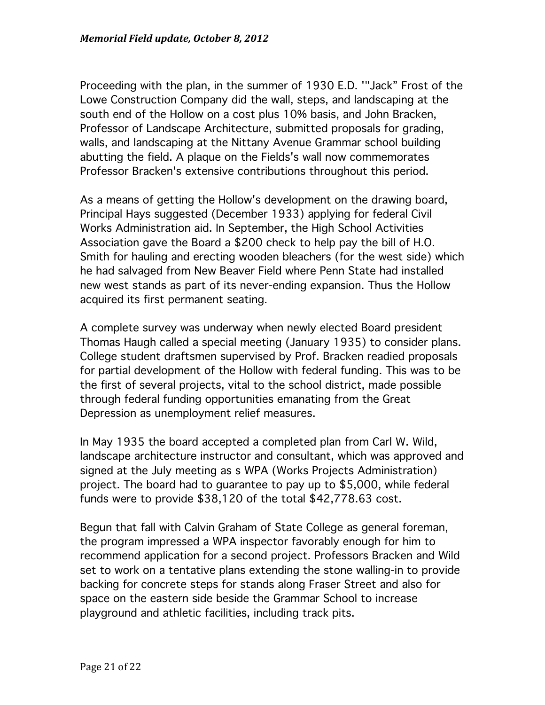Proceeding with the plan, in the summer of 1930 E.D. '"Jack" Frost of the Lowe Construction Company did the wall, steps, and landscaping at the south end of the Hollow on a cost plus 10% basis, and John Bracken, Professor of Landscape Architecture, submitted proposals for grading, walls, and landscaping at the Nittany Avenue Grammar school building abutting the field. A plaque on the Fields's wall now commemorates Professor Bracken's extensive contributions throughout this period.

As a means of getting the Hollow's development on the drawing board, Principal Hays suggested (December 1933) applying for federal Civil Works Administration aid. In September, the High School Activities Association gave the Board a \$200 check to help pay the bill of H.O. Smith for hauling and erecting wooden bleachers (for the west side) which he had salvaged from New Beaver Field where Penn State had installed new west stands as part of its never-ending expansion. Thus the Hollow acquired its first permanent seating.

A complete survey was underway when newly elected Board president Thomas Haugh called a special meeting (January 1935) to consider plans. College student draftsmen supervised by Prof. Bracken readied proposals for partial development of the Hollow with federal funding. This was to be the first of several projects, vital to the school district, made possible through federal funding opportunities emanating from the Great Depression as unemployment relief measures.

In May 1935 the board accepted a completed plan from Carl W. Wild, landscape architecture instructor and consultant, which was approved and signed at the July meeting as s WPA (Works Projects Administration) project. The board had to guarantee to pay up to \$5,000, while federal funds were to provide \$38,120 of the total \$42,778.63 cost.

Begun that fall with Calvin Graham of State College as general foreman, the program impressed a WPA inspector favorably enough for him to recommend application for a second project. Professors Bracken and Wild set to work on a tentative plans extending the stone walling-in to provide backing for concrete steps for stands along Fraser Street and also for space on the eastern side beside the Grammar School to increase playground and athletic facilities, including track pits.